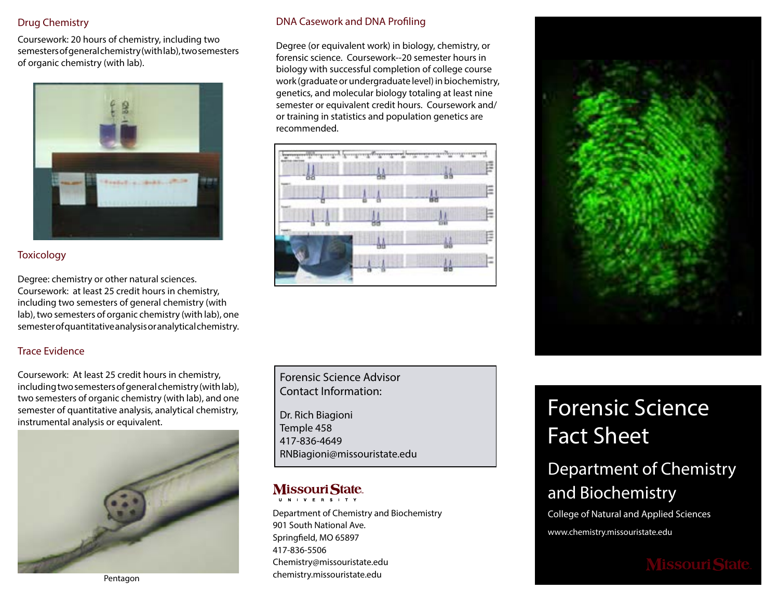## Drug Chemistry

Coursework: 20 hours of chemistry, including two semesters of general chemistry (with lab), two semesters of organic chemistry (with lab).



## **Toxicology**

Degree: chemistry or other natural sciences. Coursework: at least 25 credit hours in chemistry, including two semesters of general chemistry (with lab), two semesters of organic chemistry (with lab), one semester of quantitative analysis or analytical chemistry.

## Trace Evidence

Coursework: At least 25 credit hours in chemistry, including two semesters of general chemistry (with lab), two semesters of organic chemistry (with lab), and one semester of quantitative analysis, analytical chemistry, instrumental analysis or equivalent.



Pentagon

## DNA Casework and DNA Profiling

Degree (or equivalent work) in biology, chemistry, or forensic science. Coursework--20 semester hours in biology with successful completion of college course work (graduate or undergraduate level) in biochemistry, genetics, and molecular biology totaling at least nine semester or equivalent credit hours. Coursework and/ or training in statistics and population genetics are recommended.



Forensic Science Advisor Contact Information:

Dr. Rich Biagioni Temple 458 417-836-4649 RNBiagioni@missouristate.edu

### **Missouri State.** U N I V E R S I T Y

Department of Chemistry and Biochemistry 901 South National Ave. Springfield, MO 65897 417-836-5506 Chemistry@missouristate.edu chemistry.missouristate.edu



# Forensic Science Fact Sheet

## Department of Chemistry and Biochemistry

College of Natural and Applied Sciences

www.chemistry.missouristate.edu